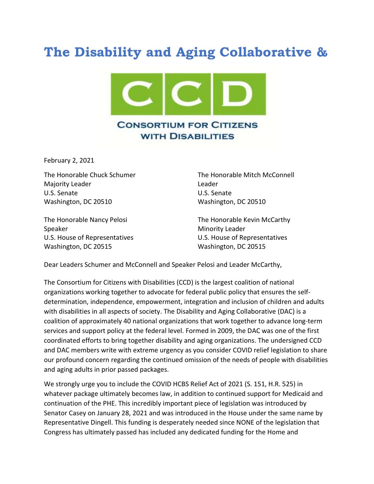## The Disability and Aging Collaborative &



February 2, 2021

Majority Leader **Leader Leader** U.S. Senate U.S. Senate Washington, DC 20510 Washington, DC 20510

The Honorable Chuck Schumer The Honorable Mitch McConnell

The Honorable Nancy Pelosi **The Honorable Kevin McCarthy** Speaker Minority Leader Washington, DC 20515 Washington, DC 20515

U.S. House of Representatives U.S. House of Representatives

Dear Leaders Schumer and McConnell and Speaker Pelosi and Leader McCarthy,

The Consortium for Citizens with Disabilities (CCD) is the largest coalition of national organizations working together to advocate for federal public policy that ensures the selfdetermination, independence, empowerment, integration and inclusion of children and adults with disabilities in all aspects of society. The Disability and Aging Collaborative (DAC) is a coalition of approximately 40 national organizations that work together to advance long-term services and support policy at the federal level. Formed in 2009, the DAC was one of the first coordinated efforts to bring together disability and aging organizations. The undersigned CCD and DAC members write with extreme urgency as you consider COVID relief legislation to share our profound concern regarding the continued omission of the needs of people with disabilities and aging adults in prior passed packages.

We strongly urge you to include the COVID HCBS Relief Act of 2021 (S. 151, H.R. 525) in whatever package ultimately becomes law, in addition to continued support for Medicaid and continuation of the PHE. This incredibly important piece of legislation was introduced by Senator Casey on January 28, 2021 and was introduced in the House under the same name by Representative Dingell. This funding is desperately needed since NONE of the legislation that Congress has ultimately passed has included any dedicated funding for the Home and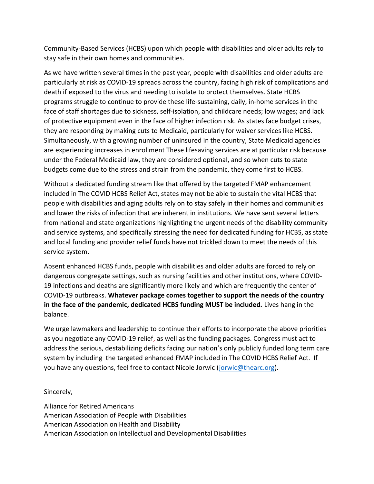Community-Based Services (HCBS) upon which people with disabilities and older adults rely to stay safe in their own homes and communities.

As we have written several times in the past year, people with disabilities and older adults are particularly at risk as COVID-19 spreads across the country, facing high risk of complications and death if exposed to the virus and needing to isolate to protect themselves. State HCBS programs struggle to continue to provide these life-sustaining, daily, in-home services in the face of staff shortages due to sickness, self-isolation, and childcare needs; low wages; and lack of protective equipment even in the face of higher infection risk. As states face budget crises, they are responding by making cuts to Medicaid, particularly for waiver services like HCBS. Simultaneously, with a growing number of uninsured in the country, State Medicaid agencies are experiencing increases in enrollment These lifesaving services are at particular risk because under the Federal Medicaid law, they are considered optional, and so when cuts to state budgets come due to the stress and strain from the pandemic, they come first to HCBS.

Without a dedicated funding stream like that offered by the targeted FMAP enhancement included in The COVID HCBS Relief Act, states may not be able to sustain the vital HCBS that people with disabilities and aging adults rely on to stay safely in their homes and communities and lower the risks of infection that are inherent in institutions. We have sent several letters from national and state organizations highlighting the urgent needs of the disability community and service systems, and specifically stressing the need for dedicated funding for HCBS, as state and local funding and provider relief funds have not trickled down to meet the needs of this service system.

Absent enhanced HCBS funds, people with disabilities and older adults are forced to rely on dangerous congregate settings, such as nursing facilities and other institutions, where COVID-19 infections and deaths are significantly more likely and which are frequently the center of COVID-19 outbreaks. Whatever package comes together to support the needs of the country in the face of the pandemic, dedicated HCBS funding MUST be included. Lives hang in the balance.

We urge lawmakers and leadership to continue their efforts to incorporate the above priorities as you negotiate any COVID-19 relief, as well as the funding packages. Congress must act to address the serious, destabilizing deficits facing our nation's only publicly funded long term care system by including the targeted enhanced FMAP included in The COVID HCBS Relief Act. If you have any questions, feel free to contact Nicole Jorwic (jorwic@thearc.org).

Sincerely,

Alliance for Retired Americans American Association of People with Disabilities American Association on Health and Disability American Association on Intellectual and Developmental Disabilities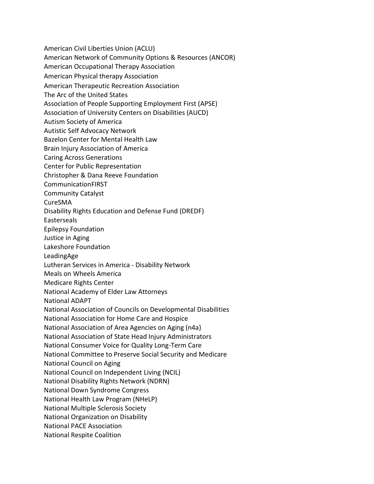American Civil Liberties Union (ACLU)

American Network of Community Options & Resources (ANCOR)

American Occupational Therapy Association

American Physical therapy Association

American Therapeutic Recreation Association

The Arc of the United States

Association of People Supporting Employment First (APSE)

Association of University Centers on Disabilities (AUCD)

Autism Society of America

Autistic Self Advocacy Network

Bazelon Center for Mental Health Law

Brain Injury Association of America

Caring Across Generations

Center for Public Representation

Christopher & Dana Reeve Foundation

CommunicationFIRST

Community Catalyst

CureSMA

Disability Rights Education and Defense Fund (DREDF)

Easterseals

Epilepsy Foundation

Justice in Aging

Lakeshore Foundation

LeadingAge

Lutheran Services in America - Disability Network

Meals on Wheels America

Medicare Rights Center

National Academy of Elder Law Attorneys

National ADAPT

National Association of Councils on Developmental Disabilities

National Association for Home Care and Hospice

National Association of Area Agencies on Aging (n4a)

National Association of State Head Injury Administrators

National Consumer Voice for Quality Long-Term Care

National Committee to Preserve Social Security and Medicare

National Council on Aging

National Council on Independent Living (NCIL)

National Disability Rights Network (NDRN)

National Down Syndrome Congress

National Health Law Program (NHeLP)

National Multiple Sclerosis Society

National Organization on Disability

National PACE Association

National Respite Coalition